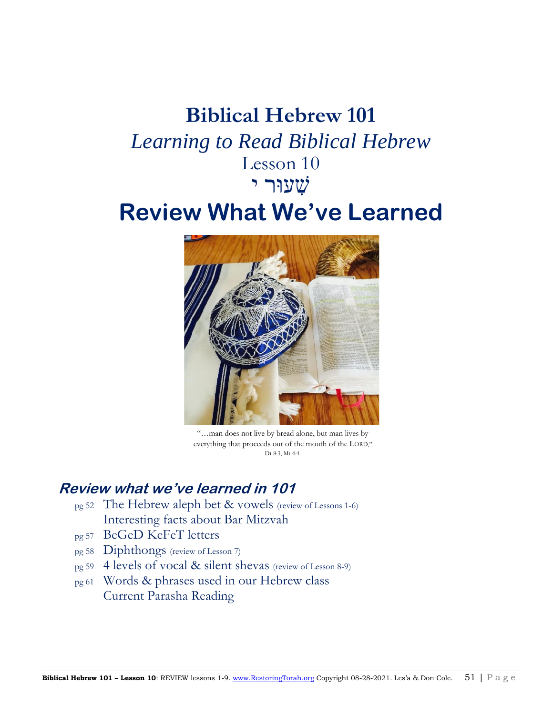## **Biblical Hebrew 101**  *Learning to Read Biblical Hebrew* Lesson 10 שִׁ עוּר י

# **Review What We've Learned**



"…man does not live by bread alone, but man lives by everything that proceeds out of the mouth of the LORD," Dt 8:3; Mt 4:4.

## **Review what we've learned in 101**

- pg 52 The Hebrew aleph bet & vowels (review of Lessons 1-6) Interesting facts about Bar Mitzvah
- pg 57 BeGeD KeFeT letters
- pg 58 Diphthongs (review of Lesson 7)
- pg 59 4 levels of vocal & silent shevas (review of Lesson 8-9)
- pg 61 Words & phrases used in our Hebrew class Current Parasha Reading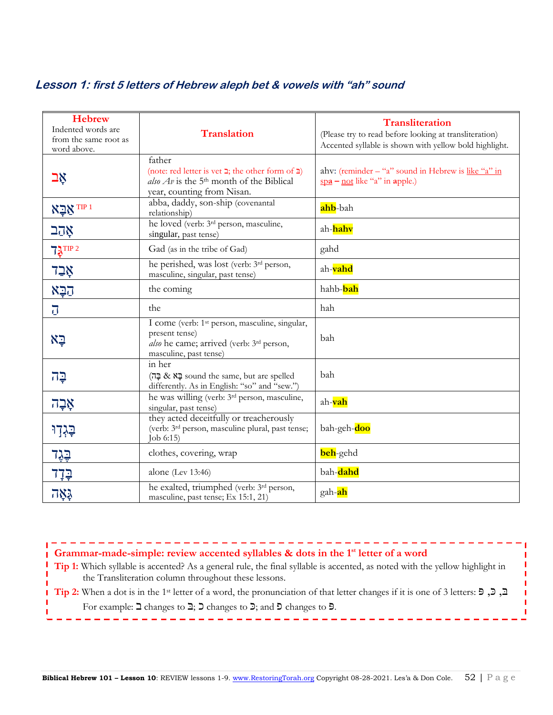## **Lesson 1: first 5 letters of Hebrew aleph bet & vowels with "ah" sound**

| <b>Hebrew</b><br>Indented words are<br>from the same root as<br>word above. | <b>Translation</b>                                                                                                                                                 | <b>Transliteration</b><br>(Please try to read before looking at transliteration)<br>Accented syllable is shown with yellow bold highlight. |
|-----------------------------------------------------------------------------|--------------------------------------------------------------------------------------------------------------------------------------------------------------------|--------------------------------------------------------------------------------------------------------------------------------------------|
| אַב                                                                         | father<br>(note: red letter is vet $\gimel$ ; the other form of $\gimel$ )<br>also $Av$ is the 5 <sup>th</sup> month of the Biblical<br>year, counting from Nisan. | ahv: (reminder $-$ "a" sound in Hebrew is like "a" in<br>$\frac{\text{spa}}{\text{no}}$ - not like "a" in apple.)                          |
| <sup>TIP 1</sup> אַבַּא                                                     | abba, daddy, son-ship (covenantal<br>relationship)                                                                                                                 | ahb-bah                                                                                                                                    |
| אָהָב                                                                       | he loved (verb: 3 <sup>rd</sup> person, masculine,<br>singular, past tense)                                                                                        | ah- <mark>hahv</mark>                                                                                                                      |
| $73$ TIP 2                                                                  | Gad (as in the tribe of Gad)                                                                                                                                       | gahd                                                                                                                                       |
| אָבַד                                                                       | he perished, was lost (verb: 3rd person,<br>masculine, singular, past tense)                                                                                       | ah-vahd                                                                                                                                    |
| הַבָּא                                                                      | the coming                                                                                                                                                         | hahb-bah                                                                                                                                   |
| $\overline{U}$                                                              | the                                                                                                                                                                | hah                                                                                                                                        |
| ⊊א                                                                          | I come (verb: 1 <sup>st</sup> person, masculine, singular,<br>present tense)<br>also he came; arrived (verb: 3 <sup>rd</sup> person,<br>masculine, past tense)     | bah                                                                                                                                        |
| $7\overline{2}$                                                             | in her<br>care spelled וּבָא & בָה sound the same, but are spelled<br>differently. As in English: "so" and "sew.")                                                 | bah                                                                                                                                        |
| אָבָה                                                                       | he was willing (verb: 3 <sup>rd</sup> person, masculine,<br>singular, past tense)                                                                                  | ah-vah                                                                                                                                     |
| בְּגְדְוּ                                                                   | they acted deceitfully or treacherously<br>(verb: 3 <sup>rd</sup> person, masculine plural, past tense;<br>Job 6:15)                                               | bah-geh-doo                                                                                                                                |
| <u>בָגָד</u>                                                                | clothes, covering, wrap                                                                                                                                            | beh-gehd                                                                                                                                   |
| <u>בְּדָד</u>                                                               | alone (Lev 13:46)                                                                                                                                                  | bah-dahd                                                                                                                                   |
| አለማ                                                                         | he exalted, triumphed (verb: 3 <sup>rd</sup> person,<br>masculine, past tense; Ex 15:1, 21)                                                                        | gah- <mark>ah</mark>                                                                                                                       |

-----------------------------**Grammar-made-simple: review accented syllables & dots in the 1st letter of a word**

------------

**Tip 1:** Which syllable is accented? As a general rule, the final syllable is accented, as noted with the yellow highlight in the Transliteration column throughout these lessons.

**Tip 2:** When a dot is in the 1st letter of a word, the pronunciation of that letter changes if it is one of 3 letters: פּ ,כּ ,בּ For example: ב changes to בּ ;כ changes to כּ ;and פ changes to פּ.

J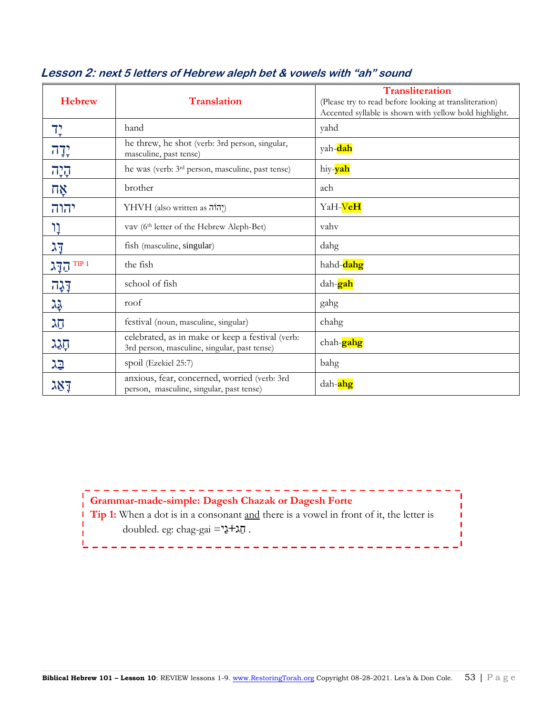| <b>Hebrew</b>                                                                         | <b>Translation</b>                                                                               | <b>Transliteration</b><br>(Please try to read before looking at transliteration)<br>Accented syllable is shown with yellow bold highlight. |
|---------------------------------------------------------------------------------------|--------------------------------------------------------------------------------------------------|--------------------------------------------------------------------------------------------------------------------------------------------|
| 7 <sub>r</sub>                                                                        | hand                                                                                             | yahd                                                                                                                                       |
| יִדְה <sub>ָ</sub>                                                                    | he threw, he shot (verb: 3rd person, singular,<br>masculine, past tense)                         | yah-dah                                                                                                                                    |
| 727                                                                                   | he was (verb: 3 <sup>rd</sup> person, masculine, past tense)                                     | hiy- <b>yah</b>                                                                                                                            |
| $\nabla \times$                                                                       | brother                                                                                          | ach                                                                                                                                        |
| יהוה                                                                                  | ?הוֹה YHVH (also written as                                                                      | YaH-VeH                                                                                                                                    |
| ָרָ                                                                                   | vav (6 <sup>th</sup> letter of the Hebrew Aleph-Bet)                                             | vahv                                                                                                                                       |
| דֶג                                                                                   | fish (masculine, singular)                                                                       | dahg                                                                                                                                       |
| TIP <sub>1</sub><br>$\lambda \overline{\mathbb{I}} \underline{\overline{\mathbb{U}}}$ | the fish                                                                                         | hahd-dahg                                                                                                                                  |
| דָּגָה                                                                                | school of fish                                                                                   | dah- <mark>gah</mark>                                                                                                                      |
| 꾜                                                                                     | roof                                                                                             | gahg                                                                                                                                       |
| הג                                                                                    | festival (noun, masculine, singular)                                                             | chahg                                                                                                                                      |
| הָגַג                                                                                 | celebrated, as in make or keep a festival (verb:<br>3rd person, masculine, singular, past tense) | chah- <b>gahg</b>                                                                                                                          |
| בֵּג                                                                                  | spoil (Ezekiel 25:7)                                                                             | bahg                                                                                                                                       |
| דאג                                                                                   | anxious, fear, concerned, worried (verb: 3rd<br>person, masculine, singular, past tense)         | dah- <b>ahg</b>                                                                                                                            |

#### **Lesson 2: next 5 letters of Hebrew aleph bet & vowels with "ah" sound**

## **Grammar-made-simple: Dagesh Chazak or Dagesh Forte**

 $\begin{array}{cccccccccccccc} \bot & \bot & \bot & \bot & \bot & \bot & \bot \end{array}$ 

**Tip 1:** When a dot is in a consonant <u>and</u> there is a vowel in front of it, the letter is T houbled. eg: chag-gai =  $\frac{1}{2} + \frac{1}{2}$ .

------------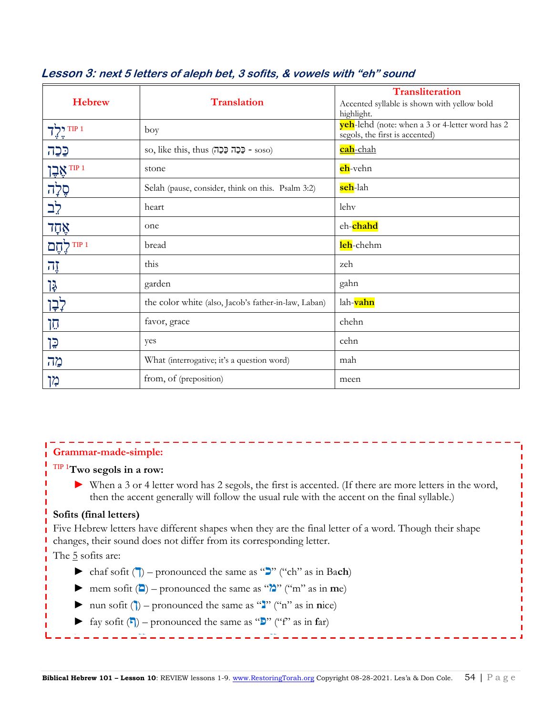| <b>Hebrew</b>             | <b>Translation</b>                                   | Transliteration<br>Accented syllable is shown with yellow bold<br>highlight.      |
|---------------------------|------------------------------------------------------|-----------------------------------------------------------------------------------|
| 7TP1                      | boy                                                  | yeh-lehd (note: when a 3 or 4-letter word has 2<br>segols, the first is accented) |
| כַּכָה                    | so, like this, thus (בְּכָה כַּכָה - soso)           | cah-chah                                                                          |
| אָבֶן $\frac{1200}{1000}$ | stone                                                | eh-vehn                                                                           |
| סֶלְה                     | Selah (pause, consider, think on this. Psalm 3:2)    | seh-lah                                                                           |
| לֲב                       | heart                                                | lehv                                                                              |
| אָהָד                     | one                                                  | ch-chahd                                                                          |
| TIP <sub>1</sub><br>לְחֵם | bread                                                | leh-chehm                                                                         |
| 7I                        | this                                                 | zeh                                                                               |
| <u>קן</u>                 | garden                                               | gahn                                                                              |
| לְבְן                     | the color white (also, Jacob's father-in-law, Laban) | lah-vahn                                                                          |
| הֵן                       | favor, grace                                         | chehn                                                                             |
| ייָן                      | yes                                                  | cehn                                                                              |
| מה                        | What (interrogative; it's a question word)           | mah                                                                               |
| מן                        | from, of (preposition)                               | meen                                                                              |

## **Lesson 3: next 5 letters of aleph bet, 3 sofits, & vowels with "eh" sound**

#### **Grammar-made-simple:**

## TIP 1**Two segols in a row:**

► When a 3 or 4 letter word has 2 segols, the first is accented. (If there are more letters in the word, then the accent generally will follow the usual rule with the accent on the final syllable.)

#### **Sofits (final letters)**

Five Hebrew letters have different shapes when they are the final letter of a word. Though their shape changes, their sound does not differ from its corresponding letter.

The  $\frac{5}{2}$  sofits are:

- $\blacktriangleright$  chaf sofit ( $\blacktriangleright$ ) pronounced the same as " $\blacktriangleright$ " ("ch" as in Bach)
- $\triangleright$  mem sofit ( $\blacksquare$ ) pronounced the same as " $\lambda$ " ("m" as in **m**e)
- ► nun sofit  $()$  pronounced the same as " $'$ " ("n" as in **nice**)
- fay sofit  $(\blacksquare)$  pronounced the same as " $\blacksquare$ " ("f" as in far)

► tsade sofit (**ץ** – (pronounced the same as "**צ**") "ts" as in ca**ts**)

 $\equiv$   $\equiv$   $\equiv$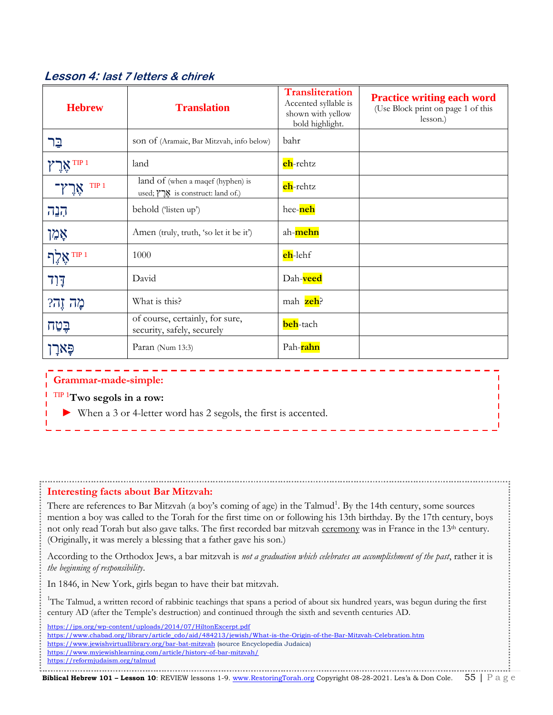## **Lesson 4: last 7 letters & chirek**

| <b>Hebrew</b>           | <b>Translation</b>                                                       | <b>Transliteration</b><br>Accented syllable is<br>shown with yellow<br>bold highlight. | <b>Practice writing each word</b><br>(Use Block print on page 1 of this<br>lesson.) |
|-------------------------|--------------------------------------------------------------------------|----------------------------------------------------------------------------------------|-------------------------------------------------------------------------------------|
| בֵר                     | son of (Aramaic, Bar Mitzvah, info below)                                | bahr                                                                                   |                                                                                     |
| י <sup>TIP 1</sup> אָרֶ | land                                                                     | eh-rehtz                                                                               |                                                                                     |
| TIP <sub>1</sub><br>ïů  | land of (when a magef (hyphen) is<br>used; אֲרֵץ is construct: land of.) | eh-rehtz                                                                               |                                                                                     |
| הְנָה                   | behold ('listen up')                                                     | hee-neh                                                                                |                                                                                     |
| אָמֵן                   | Amen (truly, truth, 'so let it be it')                                   | ah-mehn                                                                                |                                                                                     |
| TIP <sub>1</sub>        | 1000                                                                     | eh-lehf                                                                                |                                                                                     |
| <b>דַוְד</b>            | David                                                                    | Dah-veed                                                                               |                                                                                     |
| מֲהֹ זֶהְ?              | What is this?                                                            | mah zeh?                                                                               |                                                                                     |
| בֵּטַח                  | of course, certainly, for sure,<br>security, safely, securely            | beh-tach                                                                               |                                                                                     |
|                         | Paran (Num 13:3)                                                         | Pah-rahn                                                                               |                                                                                     |

#### **Grammar-made-simple:**

## TIP 1**Two segols in a row:**

When a 3 or 4-letter word has 2 segols, the first is accented.

#### **Interesting facts about Bar Mitzvah:**

There are references to Bar Mitzvah (a boy's coming of age) in the Talmud<sup>1</sup>. By the 14th century, some sources mention a boy was called to the Torah for the first time on or following his 13th birthday. By the 17th century, boys not only read Torah but also gave talks. The first recorded bar mitzvah ceremony was in France in the 13<sup>th</sup> century. (Originally, it was merely a blessing that a father gave his son.)

According to the Orthodox Jews, a bar mitzvah is *not a graduation which celebrates an accomplishment of the past*, rather it is *the beginning of responsibility*.

In 1846, in New York, girls began to have their bat mitzvah.

<sup>1</sup>The Talmud, a written record of rabbinic teachings that spans a period of about six hundred years, was begun during the first century AD (after the Temple's destruction) and continued through the sixth and seventh centuries AD.

<https://jps.org/wp-content/uploads/2014/07/HiltonExcerpt.pdf> [https://www.chabad.org/library/article\\_cdo/aid/484213/jewish/What-is-the-Origin-of-the-Bar-Mitzvah-Celebration.htm](https://www.chabad.org/library/article_cdo/aid/484213/jewish/What-is-the-Origin-of-the-Bar-Mitzvah-Celebration.htm)  <https://www.jewishvirtuallibrary.org/bar-bat-mitzvah> (source Encyclopedia Judaica) <https://www.myjewishlearning.com/article/history-of-bar-mitzvah/> <https://reformjudaism.org/talmud>

**Biblical Hebrew 101 – Lesson 10**: REVIEW lessons 1-9[. www.RestoringTorah.org](http://www.restoringtorah.org/) Copyright 08-28-2021. Les'a & Don Cole. 55 | P a g e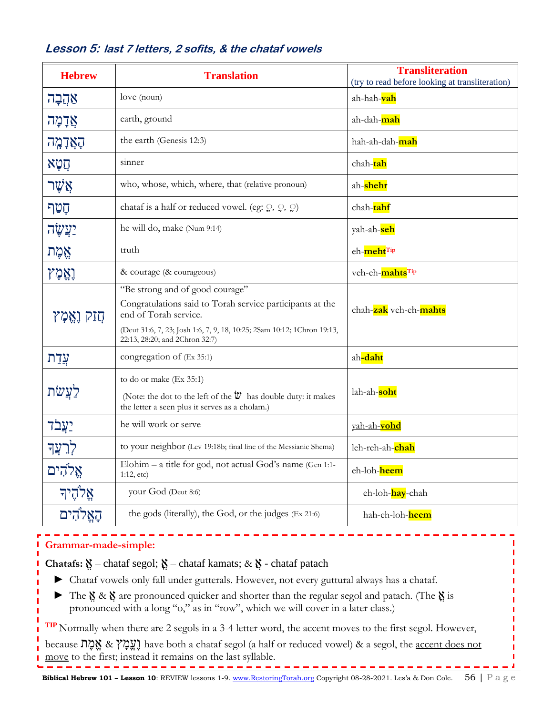| <b>Hebrew</b>    | <b>Translation</b>                                                                                                                                                                                                                 | <b>Transliteration</b><br>(try to read before looking at transliteration) |
|------------------|------------------------------------------------------------------------------------------------------------------------------------------------------------------------------------------------------------------------------------|---------------------------------------------------------------------------|
| אַהֲבָה          | love (noun)                                                                                                                                                                                                                        | ah-hah- <mark>vah</mark>                                                  |
| אֲדָמָה          | earth, ground                                                                                                                                                                                                                      | ah-dah- <mark>mah</mark>                                                  |
| הָאֲדָמֶה        | the earth (Genesis 12:3)                                                                                                                                                                                                           | hah-ah-dah-mah                                                            |
| תִטְא            | sinner                                                                                                                                                                                                                             | chah-tah                                                                  |
| אֲשֶׁר           | who, whose, which, where, that (relative pronoun)                                                                                                                                                                                  | ah-shehr                                                                  |
| קַטַף            | chataf is a half or reduced vowel. (eg: $\mathcal{Q}, \mathcal{Q}, \mathcal{Q}$ )                                                                                                                                                  | chah-tahf                                                                 |
| <u>יְצַשֶּׂה</u> | he will do, make (Num 9:14)                                                                                                                                                                                                        | yah-ah- <mark>seh</mark>                                                  |
| אֱמֶת            | truth                                                                                                                                                                                                                              | eh-meht <sup>Tip</sup>                                                    |
| <b>וְאֵמְץ</b>   | & courage (& courageous)                                                                                                                                                                                                           | veh-eh-mahtsTip                                                           |
| חַזַק וַאֱמָץ    | "Be strong and of good courage"<br>Congratulations said to Torah service participants at the<br>end of Torah service.<br>(Deut 31:6, 7, 23; Josh 1:6, 7, 9, 18, 10:25; 2Sam 10:12; 1Chron 19:13,<br>22:13, 28:20; and 2Chron 32:7) | chah-zak veh-eh-mahts                                                     |
| עֲדַת            | congregation of (Ex 35:1)                                                                                                                                                                                                          | ah-daht                                                                   |
| לעֲשׂת           | to do or make (Ex 35:1)<br>(Note: the dot to the left of the $\ddot{\mathbf{w}}$ has double duty: it makes<br>the letter a seen plus it serves as a cholam.)                                                                       | lah-ah-soht                                                               |
| <u>יעֲבֹד</u>    | he will work or serve                                                                                                                                                                                                              | yah-ah-vohd                                                               |
| לְרִעֲךָ         | to your neighbor (Lev 19:18b; final line of the Messianic Shema)                                                                                                                                                                   | leh-reh-ah-chah                                                           |
| אֱלֹהִים         | Elohim - a title for god, not actual God's name (Gen 1:1-<br>1:12, etc)                                                                                                                                                            | eh-loh-heem                                                               |
| אֱלֹהֶיך         | your God (Deut 8:6)                                                                                                                                                                                                                | eh-loh- <mark>hay</mark> -chah                                            |
| האֱלֹהִים        | the gods (literally), the God, or the judges (Ex 21:6)                                                                                                                                                                             | hah-eh-loh-heem                                                           |

### **Lesson 5: last 7 letters, 2 sofits, & the chataf vowels**

## **Grammar-made-simple:**

**Chatafs:** ֱא – chataf segol; א – chataf kamats; & ֲא - chataf patach

- ► Chataf vowels only fall under gutterals. However, not every guttural always has a chataf.
- ► The ֱא & ֲא are pronounced quicker and shorter than the regular segol and patach. (The א is pronounced with a long "o," as in "row", which we will cover in a later class.)

**TIP** Normally when there are 2 segols in a 3-4 letter word, the accent moves to the first segol. However,

because ת ֶמ ֱא & ץ ָמֱעֶו have both a chataf segol (a half or reduced vowel) & a segol, the accent does not move to the first; instead it remains on the last syllable. ----------

------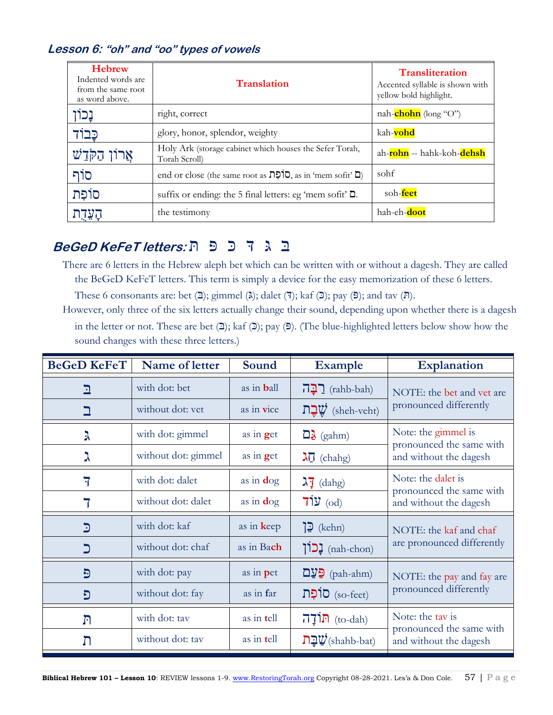## **Lesson 6: "oh" and "oo" types of vowels**

| <b>Hebrew</b><br>Indented words are<br>from the same root<br>as word above. | <b>Translation</b>                                                                 | <b>Transliteration</b><br>Accented syllable is shown with<br>yellow bold highlight. |
|-----------------------------------------------------------------------------|------------------------------------------------------------------------------------|-------------------------------------------------------------------------------------|
| נָכוֹן                                                                      | right, correct                                                                     | nah- <b>chohn</b> (long "O")                                                        |
| כּבוֹז                                                                      | glory, honor, splendor, weighty                                                    | kah-vohd                                                                            |
| אֲרוֹן הַקֹּדֵשׁ                                                            | Holy Ark (storage cabinet which houses the Sefer Torah,<br>Torah Scroll)           | ah- <b>rohn</b> -- hahk-koh- <b>dehsh</b>                                           |
| סוֹף                                                                        | end or close (the same root as $\overline{D}$ , as in 'mem sofit' $\overline{D}$ ) | sohf                                                                                |
| סוֹפַת                                                                      | suffix or ending: the 5 final letters: eg 'mem sofit' $\Box$ .                     | soh-feet                                                                            |
| הַעֲדָת                                                                     | the testimony                                                                      | hah-eh-doot                                                                         |

## ּב ג דּ כּ פּ ת **:letters KeFeT BeGeD**

- There are 6 letters in the Hebrew aleph bet which can be written with or without a dagesh. They are called the BeGeD KeFeT letters. This term is simply a device for the easy memorization of these 6 letters.
	- These 6 consonants are: bet  $(\mathbf{I});$  gimmel  $(\lambda);$  dalet  $(\mathbf{I});$  kaf  $(\mathbf{I});$  pay  $(\mathbf{I});$  and tav  $(\mathbf{I})$ .
- However, only three of the six letters actually change their sound, depending upon whether there is a dagesh in the letter or not. These are bet  $(2)$ ; kaf  $(2)$ ; pay  $(5)$ . (The blue-highlighted letters below show how the sound changes with these three letters.)

| <b>BeGeD KeFeT</b> | Name of letter      | Sound              | <b>Example</b>                               | <b>Explanation</b>                                 |  |
|--------------------|---------------------|--------------------|----------------------------------------------|----------------------------------------------------|--|
| <u>ב</u>           | with dot: bet       | as in <b>b</b> all | <u>רבה</u> (rahb-bah)                        | NOTE: the bet and vet are                          |  |
|                    | without dot: yet    | as in vice         | שֲבַת (sheh-veht)                            | pronounced differently                             |  |
| λ                  | with dot: gimmel    | as in get          | $\Box \lambda$ (gahm)                        | Note: the gimmel is<br>pronounced the same with    |  |
| ス                  | without dot: gimmel | as in $get$        | $\lambda \vec{0}$ (chahg)                    | and without the dagesh                             |  |
| 7                  | with dot: dalet     | as in $\log$       | $\lambda$ <sup>7</sup> (dahg)                | Note: the dalet is                                 |  |
|                    | without dot: dalet  | as in $\log$       | $71y$ (od)                                   | pronounced the same with<br>and without the dagesh |  |
| $\mathbf{C}$       | with dot: kaf       | as in keep         | $\mathbf{E}$ (kehn)                          | NOTE: the kaf and chaf                             |  |
| כ                  | without dot: chaf   | as in Bach         | [כון (nah-chon)                              | are pronounced differently                         |  |
| $\mathbf{D}$       | with dot: pay       | as in pet          | $\mathbf{D}\mathbf{y}$ (pah-ahm)             | NOTE: the pay and fay are                          |  |
| פֿ                 | without dot: fay    | as in far          | (so-feet) סוֹפָת                             | pronounced differently                             |  |
| $\Gamma$           | with dot: tav       | as in tell         | $\overline{\Pi}$ וֹן (to-dah)                | Note: the tay is                                   |  |
| ת                  | without dot: tav    | as in tell         | $\mathbf{D}\mathbf{L}\mathbf{V}$ (shahb-bat) | pronounced the same with<br>and without the dagesh |  |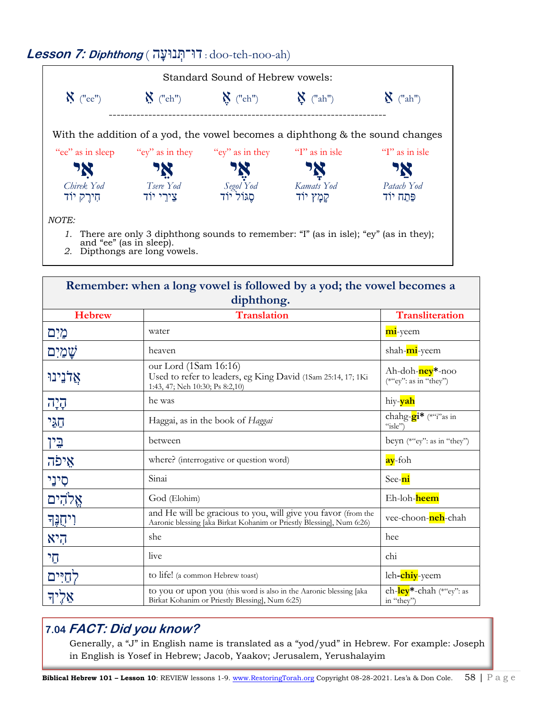#### Standard Sound of Hebrew vowels:  $\boldsymbol{N}$  ("ee")  $\boldsymbol{N}$  ("ch")  $\boldsymbol{N}$  ("ah")  $\boldsymbol{N}$  ("ah")  $\boldsymbol{N}$  ("ah") ---------------------------------------------------------------------- With the addition of a yod, the vowel becomes a diphthong & the sound changes "ee" as in sleep **אִ י** *Chirek Yod* חִ ירֶ ק יוֹד "ey" as in they **אֵ י** *Tsere Yod* צֵירֵ י יוֹד "ey" as in they **אֶ י** *Segol Yod* סֶ גוֹל יוֹד "I" as in isle **אָ י** *Kamats Yod* קמָץ יוֹד "I" as in isle **אַ י** *Patach Yod* פּתַח יוֹד *NOTE: 1.* There are only 3 diphthong sounds to remember: "I" (as in isle); "ey" (as in they); and "ee" (as in sleep). *2.* Dipthongs are long vowels.

| Remember: when a long vowel is followed by a yod; the vowel becomes a<br>diphthong. |                                                                                                                                        |                                                         |  |
|-------------------------------------------------------------------------------------|----------------------------------------------------------------------------------------------------------------------------------------|---------------------------------------------------------|--|
| <b>Hebrew</b>                                                                       | <b>Translation</b>                                                                                                                     | <b>Transliteration</b>                                  |  |
| מַיִם                                                                               | water                                                                                                                                  | mi-yeem                                                 |  |
| שַׁמַיִם                                                                            | heaven                                                                                                                                 | shah-mi-yeem                                            |  |
| אֵלֹנֵינוּ                                                                          | our Lord (1Sam 16:16)<br>Used to refer to leaders, eg King David (1Sam 25:14, 17; 1Ki<br>1:43, 47; Neh 10:30; Ps 8:2,10)               | Ah-doh- <mark>ney</mark> *-noo<br>(*"ey": as in "they") |  |
| 727                                                                                 | he was                                                                                                                                 | hiy- <mark>yah</mark>                                   |  |
| הגי                                                                                 | Haggai, as in the book of Haggai                                                                                                       | chahg- <b>gi*</b> (*"i"as in<br>"isle"                  |  |
| <b>ְּבִין</b>                                                                       | between                                                                                                                                | beyn (*"ey": as in "they")                              |  |
| אֵיפֿה                                                                              | where? (interrogative or question word)                                                                                                | ay-foh                                                  |  |
| סִינֵי                                                                              | Sinai                                                                                                                                  | See-ni                                                  |  |
| אֵלהִים                                                                             | God (Elohim)                                                                                                                           | Eh-loh-heem                                             |  |
| ויחֶנֶּד                                                                            | and He will be gracious to you, will give you favor (from the<br>Aaronic blessing [aka Birkat Kohanim or Priestly Blessing], Num 6:26) | vee-choon- <mark>neh</mark> -chah                       |  |
| היא                                                                                 | she                                                                                                                                    | hee                                                     |  |
| הי                                                                                  | live                                                                                                                                   | chi                                                     |  |
| לחיים                                                                               | to life! (a common Hebrew toast)                                                                                                       | leh-chiy-yeem                                           |  |
|                                                                                     | to you or upon you (this word is also in the Aaronic blessing [aka<br>Birkat Kohanim or Priestly Blessing], Num 6:25)                  | eh-ley <sup>*</sup> -chah (*"ey": as<br>in "they")      |  |

## **7.04 FACT: Did you know?**

Generally, a "J" in English name is translated as a "yod/yud" in Hebrew. For example: Joseph in English is Yosef in Hebrew; Jacob, Yaakov; Jerusalem, Yerushalayim

## **Lesson 7: Diphthong** ( ה נוּע ְדוּ־ת : doo-teh-noo-ah)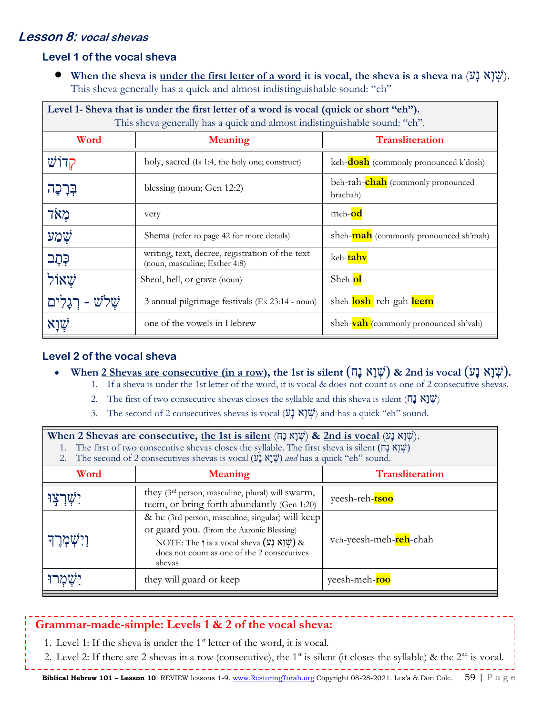## **Lesson 8: vocal shevas**

#### **Level 1 of the vocal sheva**

• **When the sheva is <u>under the first letter of a word</u> it is vocal, the sheva is a sheva na (עֲ א נָע).** This sheva generally has a quick and almost indistinguishable sound: "eh"

| Level 1- Sheva that is under the first letter of a word is vocal (quick or short "eh").<br>This sheva generally has a quick and almost indistinguishable sound: "eh". |                                                                                  |                                               |  |
|-----------------------------------------------------------------------------------------------------------------------------------------------------------------------|----------------------------------------------------------------------------------|-----------------------------------------------|--|
| Word<br><b>Meaning</b>                                                                                                                                                |                                                                                  | <b>Transliteration</b>                        |  |
| קדוש                                                                                                                                                                  | holy, sacred (Is 1:4, the holy one; construct)                                   | keh- <b>dosh</b> (commonly pronounced k'dosh) |  |
| בְּרָכָה                                                                                                                                                              | blessing (noun; Gen 12:2)                                                        | beh-rah-chah (commonly pronounced<br>brachah) |  |
| מאד                                                                                                                                                                   | very                                                                             | meh-od                                        |  |
| שמע                                                                                                                                                                   | Shema (refer to page 42 for more details)                                        | sheh- <b>mah</b> (commonly pronounced sh'mah) |  |
| כְּתָֽב                                                                                                                                                               | writing, text, decree, registration of the text<br>(noun, masculine; Esther 4:8) | keh-tahv                                      |  |
| שאול                                                                                                                                                                  | Sheol, hell, or grave (noun)                                                     | Sheh-ol                                       |  |
|                                                                                                                                                                       | 3 annual pilgrimage festivals (Ex 23:14 - noun)                                  | sheh-losh reh-gah-leem                        |  |
| אַוַא                                                                                                                                                                 | one of the vowels in Hebrew                                                      | sheh- <b>vah</b> (commonly pronounced sh'vah) |  |

#### **Level 2 of the vocal sheva**

- When  $2$  Shevas are consecutive (in a row), the 1st is silent  $(\Pi \times \mathbb{R} \mathbb{Z})$  & 2nd is vocal  $(\mathbb{Z} \times \mathbb{Z} \mathbb{Z})$ .
	- 1. If a sheva is under the 1st letter of the word, it is vocal & does not count as one of 2 consecutive shevas.
	- 2. The first of two consecutive shevas closes the syllable and this sheva is silent (חָבָא נָח)
	- 3. The second of 2 consecutives shevas is vocal  $(\mathcal{V} \mathbf{k} \mathbf{k}^{\dagger} \mathbf{k})$  and has a quick "eh" sound.

| When 2 Shevas are consecutive, <u>the 1st is silent</u> (שְׁנָא נָט) & 2nd is vocal (שְׁנָא נָט).<br>The first of two consecutive shevas closes the syllable. The first sheva is silent $(\Pi \times \mathbb{Y})\psi$<br>The second of 2 consecutives shevas is vocal (שְׁנָא נָע) and has a quick "eh" sound.<br>2. |                                                                                                                                                                                                                |                        |  |
|----------------------------------------------------------------------------------------------------------------------------------------------------------------------------------------------------------------------------------------------------------------------------------------------------------------------|----------------------------------------------------------------------------------------------------------------------------------------------------------------------------------------------------------------|------------------------|--|
| <b>Transliteration</b><br>Word<br><b>Meaning</b>                                                                                                                                                                                                                                                                     |                                                                                                                                                                                                                |                        |  |
|                                                                                                                                                                                                                                                                                                                      | they (3 <sup>rd</sup> person, masculine, plural) will swarm,<br>teem, or bring forth abundantly (Gen 1:20)                                                                                                     | yeesh-reh-tsoo         |  |
| וִישְמְרַך                                                                                                                                                                                                                                                                                                           | & he (3rd person, masculine, singular) will keep<br>or guard you. (From the Aaronic Blessing)<br>NOTE: The <i>j</i> is a vocal sheva (עָלָא נַע) $\&$<br>does not count as one of the 2 consecutives<br>shevas | veh-yeesh-meh-reh-chah |  |
|                                                                                                                                                                                                                                                                                                                      | they will guard or keep                                                                                                                                                                                        | yeesh-meh-roo          |  |

## **Grammar-made-simple: Levels 1 & 2 of the vocal sheva:**

- 1. Level 1: If the sheva is under the  $1<sup>st</sup>$  letter of the word, it is vocal.
- 2. Level 2: If there are 2 shevas in a row (consecutive), the 1<sup>st</sup> is silent (it closes the syllable) & the  $2<sup>nd</sup>$  is vocal.

<u> - - - - - - - - - -</u>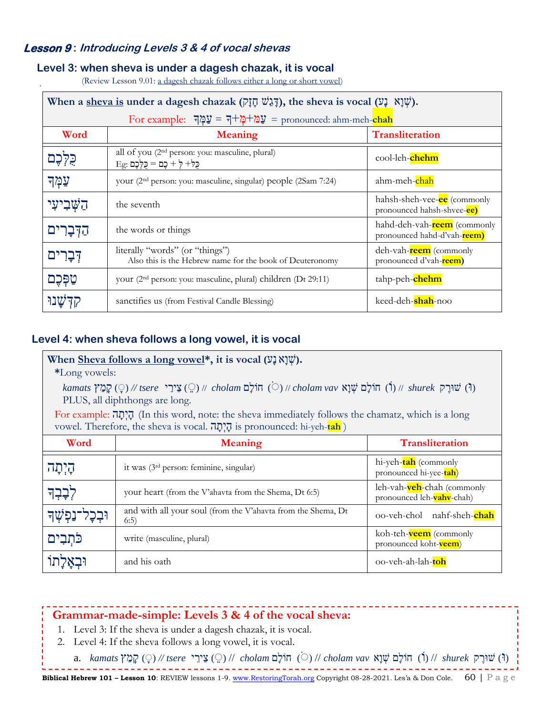### **Lesson 9 : Introducing Levels 3 & 4 of vocal shevas**

#### **Level 3: when sheva is under a dagesh chazak, it is vocal**

(Review Lesson 9.01: a dagesh chazak follows either a long or short vowel)

|              | When a sheva is under a dagesh chazak ( $\bar{y}$ ), the sheva is vocal ( $\bar{y}$ ).           |                                                                    |  |  |
|--------------|--------------------------------------------------------------------------------------------------|--------------------------------------------------------------------|--|--|
|              | For example: $\overline{\psi} = \overline{\psi} + \frac{\omega}{\psi}$ עֲמֹל                     |                                                                    |  |  |
| Word         | <b>Meaning</b>                                                                                   | <b>Transliteration</b>                                             |  |  |
|              | all of you (2 <sup>nd</sup> person: you: masculine, plural)<br>$Eg$ : כַּלְ- לְ + כֵם = כַּלְכֵם | cool-leh-chehm                                                     |  |  |
| עַמְך        | your (2 <sup>nd</sup> person: you: masculine, singular) people (2Sam 7:24)                       | ahm-meh-chah                                                       |  |  |
| הַשָּׁבִיעִי | the seventh                                                                                      | hahsh-sheh-vee-ee (commonly<br>pronounced hahsh-shvee-ce)          |  |  |
| הַדִּבַרים   | the words or things                                                                              | hahd-deh-vah- <b>reem</b> (commonly<br>pronounced hahd-d'vah-reem) |  |  |
| דִּבָרִים    | literally "words" (or "things")<br>Also this is the Hebrew name for the book of Deuteronomy      | deh-vah-reem (commonly<br>pronounced d'vah-reem)                   |  |  |
| טַפָּכֶם     | your (2 <sup>nd</sup> person: you: masculine, plural) children (Dt 29:11)                        | tahp-peh-chehm                                                     |  |  |
|              | sanctifies us (from Festival Candle Blessing)                                                    | keed-deh- <b>shah</b> -noo                                         |  |  |

#### **Level 4: when sheva follows a long vowel, it is vocal**

#### When Sheva follows a long vowel<sup>\*</sup>, it is vocal  $(\mathcal{V} \mathcal{I} \mathcal{W})$ .

#### **\***Long vowels:

(וּ) שׁוּרֶ ק *shurek* //) וֹ) חוֹל ם שְׁׁ וָא *vav cholam* // ( ) חוֹל ם *cholam* // ) ֵ ( צֵירֵ י *tsere //* ( ) ק מַ ץ *kamats* PLUS, all diphthongs are long.

For example: הַיְתֲה (In this word, note: the sheva immediately follows the chamatz, which is a long vowel. Therefore, the sheva is vocal. ה ת ְי ה is pronounced: hi-yeh-**tah** )

| Word                       | <b>Meaning</b>                                                        | <b>Transliteration</b>                                  |
|----------------------------|-----------------------------------------------------------------------|---------------------------------------------------------|
| ּהָיִתָּה                  | it was (3 <sup>rd</sup> person: feminine, singular)                   | hi-yeh- <b>tah</b> (commonly<br>pronounced hi-yee-tah)  |
| לְבָבְךָ                   | your heart (from the V'ahavta from the Shema, Dt 6:5)                 | leh-vah-veh-chah (commonly<br>pronounced leh-vahv-chah) |
| <b>וּבְכָל־נַפְּשָׁ</b> ךָ | and with all your soul (from the V'ahavta from the Shema, Dt<br>(6:5) | nahf-sheh-chah<br>oo-veh-chol                           |
| כֹּתְבִים                  | write (masculine, plural)                                             | koh-teh- <b>veem</b> (commonly<br>pronounced koht-veem) |
| וּבְאָלָתוֹ                | and his oath                                                          | 00-veh-ah-lah-toh                                       |

#### **Grammar-made-simple: Levels 3 & 4 of the vocal sheva:**

- 1. Level 3: If the sheva is under a dagesh chazak, it is vocal.
- 2. Level 4: If the sheva follows a long vowel, it is vocal.
	- (וּ) שוּוָרָק (יָׂ) (בָּמַץ (טֵּן // tsere // ( cholam *ch*) ווֹלָם (סׁוֹל *cholam vav* שוּנָל (ד) // shurek (וֹ